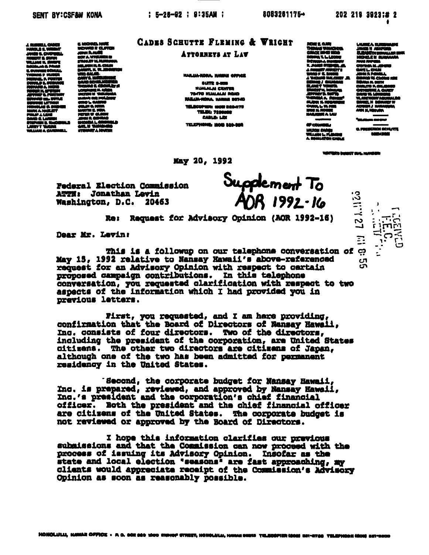하나 :<br>8LS E.WI<br>8S 6. CHI RT E. EURO **RIMMER** ÷. 4 D M مسه 12 L ₩ ia au

**C. MICHAEL MARK** on eu **JOHN RAVIG<br>HOM RAVIG<br>STRAKEY M. HURDER** ma al **. . .** vт n vaa **서비 6.시**<br>전체 역수 mar MARTIN IZ. K Ü. דיר **APJ MAR** 

## CADES SCHUTTE FLEMING & WRIGHT

## ATTORNEYS AT LAW

**NAILUA-KONA. NAIMAI OFFICE** 

**AUTR SAME** *NUALALAI CENTER* **TRADE IN ALAL BRAD** KAILIA-KORA, MANAH BETAD TELECCIPIES: 40000 ROALITS **TELEN 7884** مە **CABLE: LEX** TELEPHONE: ISOB 320-008

May 20, 1992

Supplement To<br>ADR 1992-16

Re: Request for Advisory Opinion (AOR 1992-16)

Dear Mr. Levin:

Federal Election Commission

ATTM: Jonathan Levin **Washington, D.C. 20463** 

This is a followup on our telephone conversation of ာ့ May 15, 1992 relative to Nansay Mawaii's above-referenced request for an Advisory Opinion with respect to cartain proposed campaign contributions. In this telephone conversation, you requested clarification with respect to two aspects of the information which I had provided you in previous letters.

First, you requested, and I am hare providing, confirmation that the Board of Directors of Nansay Hawaii, Inc. consists of four directors. Two of the directors, including the president of the corporation, are United States citizens. The other two directors are citizens of Japan, although one of the two has been admitted for permanent residency in the United States.

'Second, the corporate budget for Nansay Hawaii, Inc. is prepared, reviewed, and approved by Nansay Hawaii, Inc.'s president and the corporation's chief financial officer. Both the president and the chief financial officer are citizens of the United States. The corporate budget is not reviewed or approved by the Board of Directors.

I hope this information clarifies our previous submissions and that the Commission can now proceed with the process of issuing its Advisory Opinion. Insofar as the state and local election "seasons" are fast approaching, my clients would appreciate receipt of the Commission's Advisory Opinion as soon as reasonably possible.

e e am - 4 iar vitari<br>Militari n. - 1 576 -72 s i v  $L$  W. F **TANA** 

Ã.

60 mm

**MUMIC** MLLANA L. FLUNDING JANES V ABRITUNI<br>ELEADERN GORMANIER G<br>MORELE IN SUMMARA m **CRANA M.JA** -- 24 ńЛ. ŤΡ ñn, ≕ **CARLITO P. C** ix ali nava.<br>1976. U ШB

مصمحه

<u>iku acibiti</u> **BARMOR** 

VIRTIM'S BIRDET DIAL NUMBER

 $\mathbb{Z}$